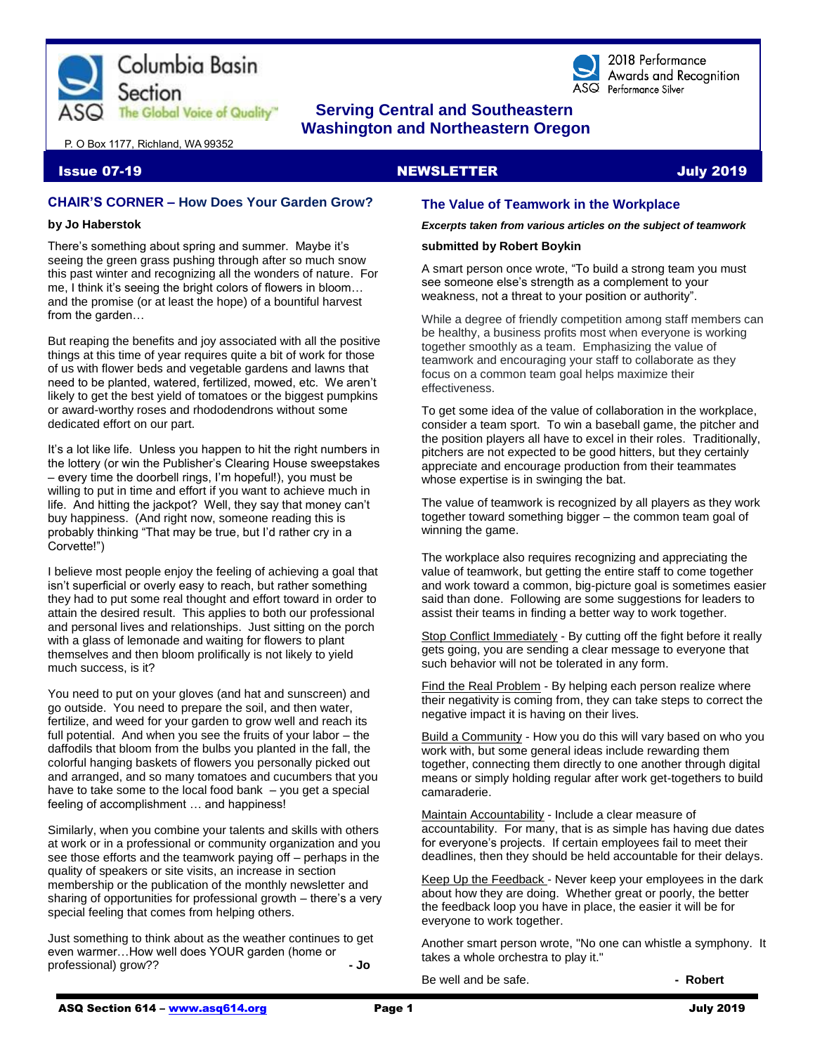

# **The Global Voice of Quality"** Serving Central and Southeastern  **Washington and Northeastern Oregon**

P. O Box 1177, Richland, WA 99352

#### Issue 07-19 NEWSLETTER July 2019

# **CHAIR'S CORNER – How Does Your Garden Grow?**

#### **by Jo Haberstok**

There's something about spring and summer. Maybe it's seeing the green grass pushing through after so much snow this past winter and recognizing all the wonders of nature. For me, I think it's seeing the bright colors of flowers in bloom… and the promise (or at least the hope) of a bountiful harvest from the garden…

But reaping the benefits and joy associated with all the positive things at this time of year requires quite a bit of work for those of us with flower beds and vegetable gardens and lawns that need to be planted, watered, fertilized, mowed, etc. We aren't likely to get the best yield of tomatoes or the biggest pumpkins or award-worthy roses and rhododendrons without some dedicated effort on our part.

It's a lot like life. Unless you happen to hit the right numbers in the lottery (or win the Publisher's Clearing House sweepstakes – every time the doorbell rings, I'm hopeful!), you must be willing to put in time and effort if you want to achieve much in life. And hitting the jackpot? Well, they say that money can't buy happiness. (And right now, someone reading this is probably thinking "That may be true, but I'd rather cry in a Corvette!")

I believe most people enjoy the feeling of achieving a goal that isn't superficial or overly easy to reach, but rather something they had to put some real thought and effort toward in order to attain the desired result. This applies to both our professional and personal lives and relationships. Just sitting on the porch with a glass of lemonade and waiting for flowers to plant themselves and then bloom prolifically is not likely to yield much success, is it?

You need to put on your gloves (and hat and sunscreen) and go outside. You need to prepare the soil, and then water, fertilize, and weed for your garden to grow well and reach its full potential. And when you see the fruits of your labor – the daffodils that bloom from the bulbs you planted in the fall, the colorful hanging baskets of flowers you personally picked out and arranged, and so many tomatoes and cucumbers that you have to take some to the local food bank  $-$  you get a special feeling of accomplishment … and happiness!

Similarly, when you combine your talents and skills with others at work or in a professional or community organization and you see those efforts and the teamwork paying off – perhaps in the quality of speakers or site visits, an increase in section membership or the publication of the monthly newsletter and sharing of opportunities for professional growth – there's a very special feeling that comes from helping others.

Just something to think about as the weather continues to get even warmer…How well does YOUR garden (home or professional) grow?? **- Jo**

# **The Value of Teamwork in the Workplace**

*Excerpts taken from various articles on the subject of teamwork*

2018 Performance

ASQ Performance Silver

Awards and Recognition

#### **submitted by Robert Boykin**

A smart person once wrote, "To build a strong team you must see someone else's strength as a complement to your weakness, not a threat to your position or authority".

While a degree of friendly competition among staff members can be healthy, a business profits most when everyone is working together smoothly as a team. Emphasizing the value of teamwork and encouraging your staff to collaborate as they focus on a common team goal helps maximize their effectiveness.

To get some idea of the value of collaboration in the workplace, consider a team sport. To win a baseball game, the pitcher and the position players all have to excel in their roles. Traditionally, pitchers are not expected to be good hitters, but they certainly appreciate and encourage production from their teammates whose expertise is in swinging the bat.

The value of teamwork is recognized by all players as they work together toward something bigger – the common team goal of winning the game.

The workplace also requires recognizing and appreciating the value of teamwork, but getting the entire staff to come together and work toward a common, big-picture goal is sometimes easier said than done. Following are some suggestions for leaders to assist their teams in finding a better way to work together.

Stop Conflict Immediately - By cutting off the fight before it really gets going, you are sending a clear message to everyone that such behavior will not be tolerated in any form.

Find the Real Problem - By helping each person realize where their negativity is coming from, they can take steps to correct the negative impact it is having on their lives.

Build a Community - How you do this will vary based on who you work with, but some general ideas include rewarding them together, connecting them directly to one another through digital means or simply holding regular after work get-togethers to build camaraderie.

Maintain Accountability - Include a clear measure of accountability. For many, that is as simple has having due dates for everyone's projects. If certain employees fail to meet their deadlines, then they should be held accountable for their delays.

Keep Up the Feedback - Never keep your employees in the dark about how they are doing. Whether great or poorly, the better the feedback loop you have in place, the easier it will be for everyone to work together.

Another smart person wrote, "No one can whistle a symphony. It takes a whole orchestra to play it."

Be well and be safe. **- Robert**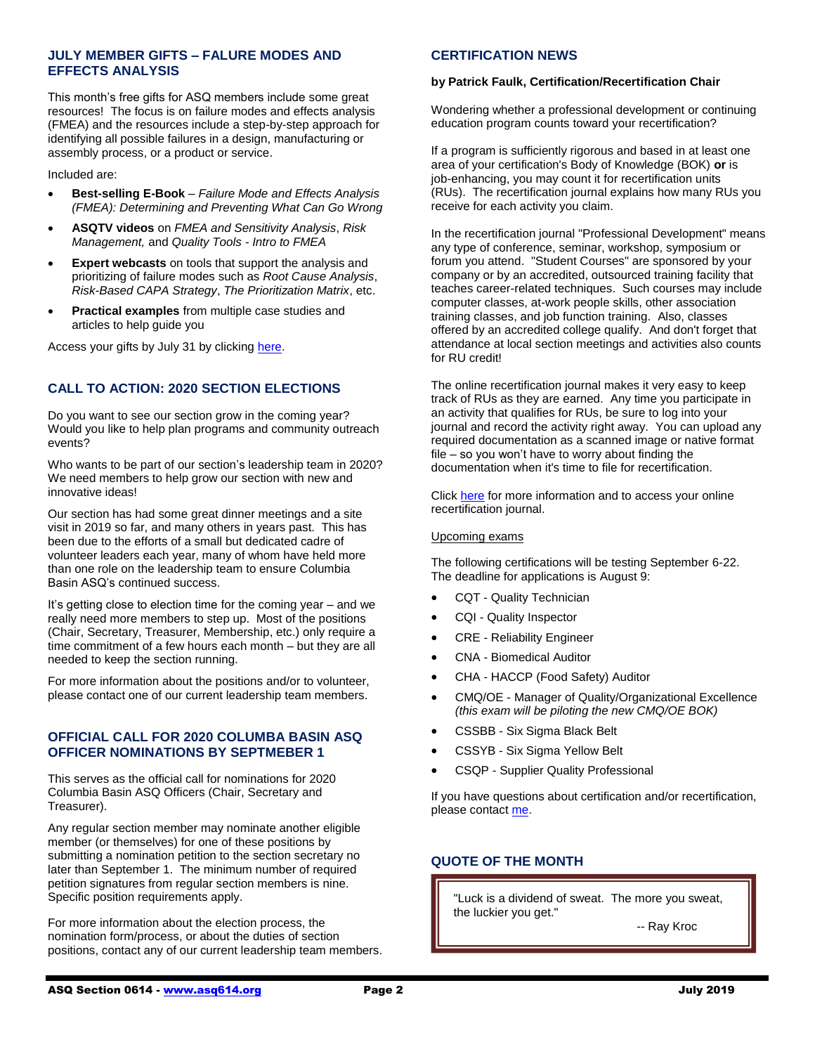# **JULY MEMBER GIFTS – FALURE MODES AND EFFECTS ANALYSIS**

This month's free gifts for ASQ members include some great resources! The focus is on failure modes and effects analysis (FMEA) and the resources include a step-by-step approach for identifying all possible failures in a design, manufacturing or assembly process, or a product or service.

Included are:

- **Best-selling E-Book** *Failure Mode and Effects Analysis (FMEA): Determining and Preventing What Can Go Wrong*
- **ASQTV videos** on *FMEA and Sensitivity Analysis*, *Risk Management,* and *Quality Tools - Intro to FMEA*
- **Expert webcasts** on tools that support the analysis and prioritizing of failure modes such as *Root Cause Analysis*, *Risk-Based CAPA Strategy*, *The Prioritization Matrix*, etc.
- **Practical examples** from multiple case studies and articles to help guide you

Access your gifts by July 31 by clickin[g here.](https://secure.asq.org/perl/msg.pl?prvurl=http://asq.org/membership/members/gift/?utm_source=email&utm_medium=email&utm_campaign=marketing_julymembergift_070119)

# **CALL TO ACTION: 2020 SECTION ELECTIONS**

Do you want to see our section grow in the coming year? Would you like to help plan programs and community outreach events?

Who wants to be part of our section's leadership team in 2020? We need members to help grow our section with new and innovative ideas!

Our section has had some great dinner meetings and a site visit in 2019 so far, and many others in years past. This has been due to the efforts of a small but dedicated cadre of volunteer leaders each year, many of whom have held more than one role on the leadership team to ensure Columbia Basin ASQ's continued success.

It's getting close to election time for the coming year – and we really need more members to step up. Most of the positions (Chair, Secretary, Treasurer, Membership, etc.) only require a time commitment of a few hours each month – but they are all needed to keep the section running.

For more information about the positions and/or to volunteer, please contact one of our current leadership team members.

### **OFFICIAL CALL FOR 2020 COLUMBA BASIN ASQ OFFICER NOMINATIONS BY SEPTMEBER 1**

This serves as the official call for nominations for 2020 Columbia Basin ASQ Officers (Chair, Secretary and Treasurer).

Any regular section member may nominate another eligible member (or themselves) for one of these positions by submitting a nomination petition to the section secretary no later than September 1. The minimum number of required petition signatures from regular section members is nine. Specific position requirements apply.

For more information about the election process, the nomination form/process, or about the duties of section positions, contact any of our current leadership team members.

# **CERTIFICATION NEWS**

#### **by Patrick Faulk, Certification/Recertification Chair**

Wondering whether a professional development or continuing education program counts toward your recertification?

If a program is sufficiently rigorous and based in at least one area of your certification's Body of Knowledge (BOK) **or** is job-enhancing, you may count it for recertification units (RUs). The recertification journal explains how many RUs you receive for each activity you claim.

In the recertification journal "Professional Development" means any type of conference, seminar, workshop, symposium or forum you attend. "Student Courses" are sponsored by your company or by an accredited, outsourced training facility that teaches career-related techniques. Such courses may include computer classes, at-work people skills, other association training classes, and job function training. Also, classes offered by an accredited college qualify. And don't forget that attendance at local section meetings and activities also counts for RU credit!

The online recertification journal makes it very easy to keep track of RUs as they are earned. Any time you participate in an activity that qualifies for RUs, be sure to log into your journal and record the activity right away. You can upload any required documentation as a scanned image or native format file – so you won't have to worry about finding the documentation when it's time to file for recertification.

Click [here](https://asq.org/cert/recertification) for more information and to access your online recertification journal.

#### Upcoming exams

The following certifications will be testing September 6-22. The deadline for applications is August 9:

- CQT Quality Technician
- CQI Quality Inspector
- CRE Reliability Engineer
- CNA Biomedical Auditor
- CHA HACCP (Food Safety) Auditor
- CMQ/OE Manager of Quality/Organizational Excellence *(this exam will be piloting the new CMQ/OE BOK)*
- CSSBB Six Sigma Black Belt
- CSSYB Six Sigma Yellow Belt
- CSQP Supplier Quality Professional

If you have questions about certification and/or recertification, please contac[t me.](mailto:prfaulk@bechtel.com)

# **QUOTE OF THE MONTH**

"Luck is a dividend of sweat. The more you sweat, the luckier you get."

-- Ray Kroc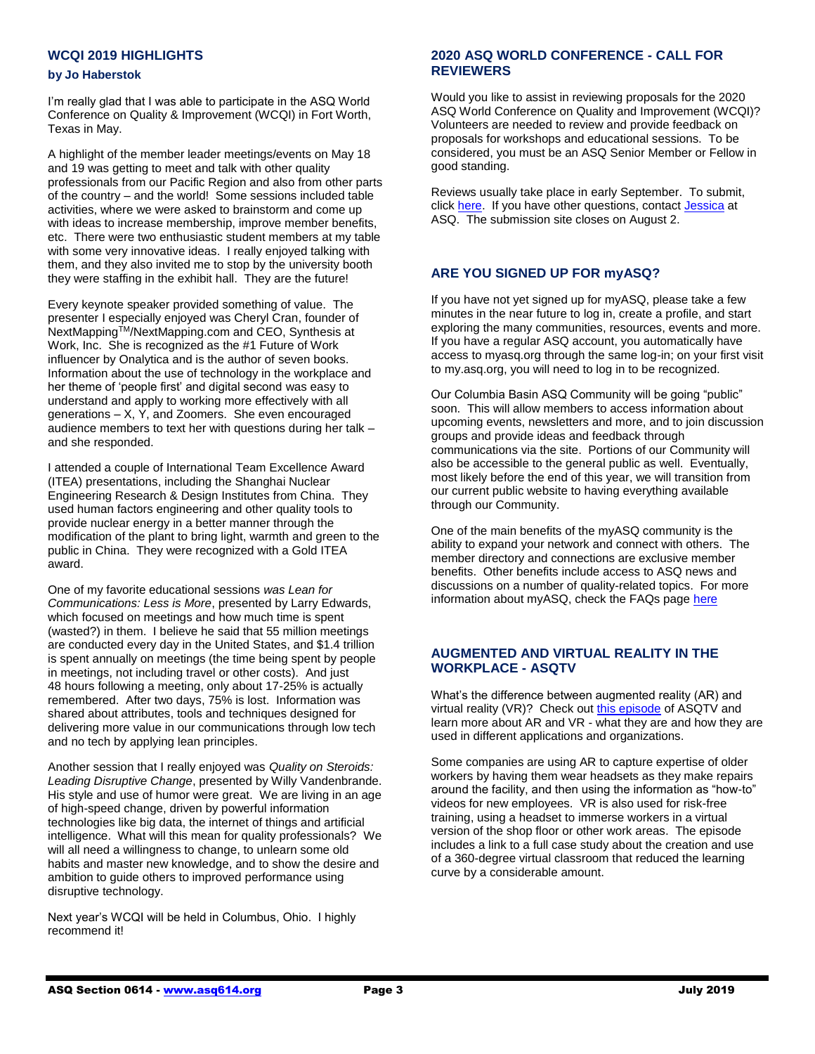# **WCQI 2019 HIGHLIGHTS**

#### **by Jo Haberstok**

I'm really glad that I was able to participate in the ASQ World Conference on Quality & Improvement (WCQI) in Fort Worth, Texas in May.

A highlight of the member leader meetings/events on May 18 and 19 was getting to meet and talk with other quality professionals from our Pacific Region and also from other parts of the country – and the world! Some sessions included table activities, where we were asked to brainstorm and come up with ideas to increase membership, improve member benefits, etc. There were two enthusiastic student members at my table with some very innovative ideas. I really enjoyed talking with them, and they also invited me to stop by the university booth they were staffing in the exhibit hall. They are the future!

Every keynote speaker provided something of value. The presenter I especially enjoyed was Cheryl Cran, founder of NextMappingTM/NextMapping.com and CEO, Synthesis at Work, Inc. She is recognized as the #1 Future of Work influencer by Onalytica and is the author of seven books. Information about the use of technology in the workplace and her theme of 'people first' and digital second was easy to understand and apply to working more effectively with all generations – X, Y, and Zoomers. She even encouraged audience members to text her with questions during her talk – and she responded.

I attended a couple of International Team Excellence Award (ITEA) presentations, including the Shanghai Nuclear Engineering Research & Design Institutes from China. They used human factors engineering and other quality tools to provide nuclear energy in a better manner through the modification of the plant to bring light, warmth and green to the public in China. They were recognized with a Gold ITEA award.

One of my favorite educational sessions *was Lean for Communications: Less is More*, presented by Larry Edwards, which focused on meetings and how much time is spent (wasted?) in them. I believe he said that 55 million meetings are conducted every day in the United States, and \$1.4 trillion is spent annually on meetings (the time being spent by people in meetings, not including travel or other costs). And just 48 hours following a meeting, only about 17-25% is actually remembered. After two days, 75% is lost. Information was shared about attributes, tools and techniques designed for delivering more value in our communications through low tech and no tech by applying lean principles.

Another session that I really enjoyed was *Quality on Steroids: Leading Disruptive Change*, presented by Willy Vandenbrande. His style and use of humor were great. We are living in an age of high-speed change, driven by powerful information technologies like big data, the internet of things and artificial intelligence. What will this mean for quality professionals? We will all need a willingness to change, to unlearn some old habits and master new knowledge, and to show the desire and ambition to guide others to improved performance using disruptive technology.

Next year's WCQI will be held in Columbus, Ohio. I highly recommend it!

# **2020 ASQ WORLD CONFERENCE - CALL FOR REVIEWERS**

Would you like to assist in reviewing proposals for the 2020 ASQ World Conference on Quality and Improvement (WCQI)? Volunteers are needed to review and provide feedback on proposals for workshops and educational sessions. To be considered, you must be an ASQ Senior Member or Fellow in good standing.

Reviews usually take place in early September. To submit, click [here.](https://www.abstractscorecard.com/cfp/submit/login.asp?EventKey=ZVOQCLFP) If you have other questions, contact [Jessica](mailto:jmiller@asq.org) at ASQ. The submission site closes on August 2.

# **ARE YOU SIGNED UP FOR myASQ?**

If you have not yet signed up for myASQ, please take a few minutes in the near future to log in, create a profile, and start exploring the many communities, resources, events and more. If you have a regular ASQ account, you automatically have access to myasq.org through the same log-in; on your first visit to my.asq.org, you will need to log in to be recognized.

Our Columbia Basin ASQ Community will be going "public" soon. This will allow members to access information about upcoming events, newsletters and more, and to join discussion groups and provide ideas and feedback through communications via the site. Portions of our Community will also be accessible to the general public as well. Eventually, most likely before the end of this year, we will transition from our current public website to having everything available through our Community.

One of the main benefits of the myASQ community is the ability to expand your network and connect with others. The member directory and connections are exclusive member benefits. Other benefits include access to ASQ news and discussions on a number of quality-related topics. For more information about myASQ, check the FAQs page [here](https://my.asq.org/faqs)

# **AUGMENTED AND VIRTUAL REALITY IN THE WORKPLACE - ASQTV**

What's the difference between augmented reality (AR) and virtual reality (VR)? Check ou[t this episode](https://videos.asq.org/augmented-and-virtual-reality-in-the-workplace) of ASQTV and learn more about AR and VR - what they are and how they are used in different applications and organizations.

Some companies are using AR to capture expertise of older workers by having them wear headsets as they make repairs around the facility, and then using the information as "how-to" videos for new employees. VR is also used for risk-free training, using a headset to immerse workers in a virtual version of the shop floor or other work areas. The episode includes a link to a full case study about the creation and use of a 360-degree virtual classroom that reduced the learning curve by a considerable amount.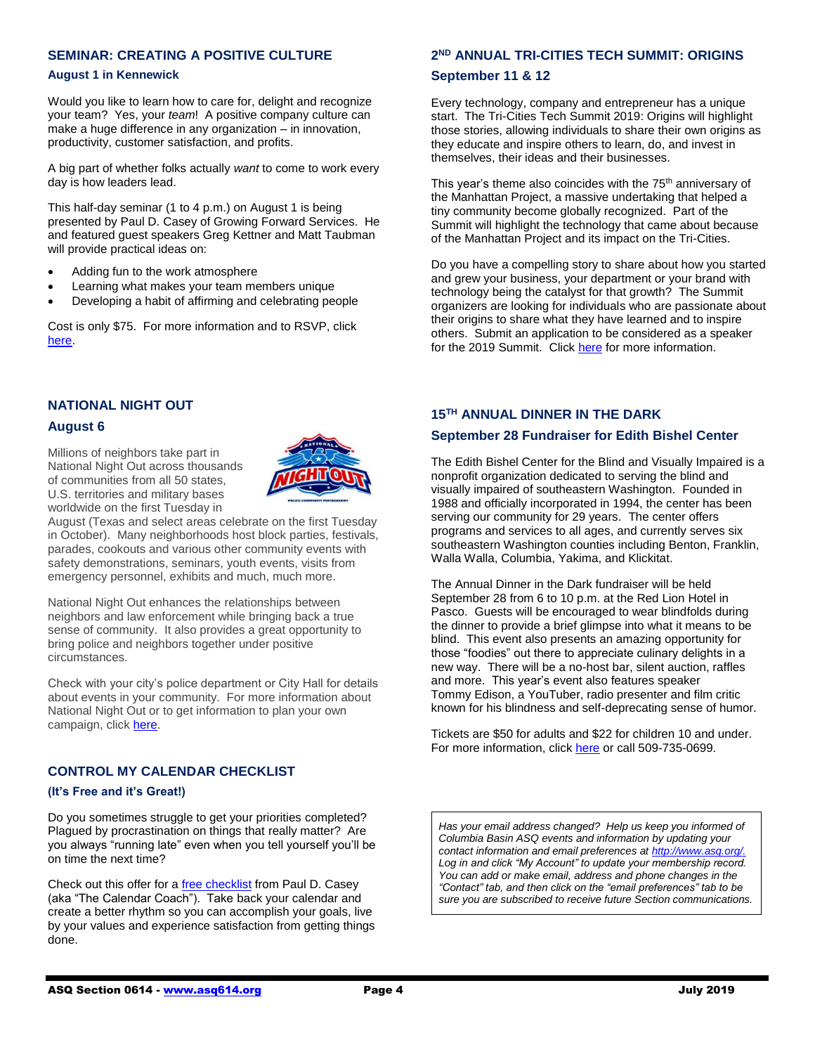# **SEMINAR: CREATING A POSITIVE CULTURE**

#### **August 1 in Kennewick**

Would you like to learn how to care for, delight and recognize your team? Yes, your *team*! A positive company culture can make a huge difference in any organization – in innovation, productivity, customer satisfaction, and profits.

A big part of whether folks actually *want* to come to work every day is how leaders lead.

This half-day seminar (1 to 4 p.m.) on August 1 is being presented by Paul D. Casey of Growing Forward Services. He and featured guest speakers Greg Kettner and Matt Taubman will provide practical ideas on:

- Adding fun to the work atmosphere
- Learning what makes your team members unique
- Developing a habit of affirming and celebrating people

Cost is only \$75. For more information and to RSVP, click [here.](http://www.paulcasey.org/)

### **NATIONAL NIGHT OUT**

#### **August 6**

Millions of neighbors take part in National Night Out across thousands of communities from all 50 states, U.S. territories and military bases worldwide on the first Tuesday in



August (Texas and select areas celebrate on the first Tuesday in October). Many neighborhoods host block parties, festivals, parades, cookouts and various other community events with safety demonstrations, seminars, youth events, visits from emergency personnel, exhibits and much, much more.

National Night Out enhances the relationships between neighbors and law enforcement while bringing back a true sense of community. It also provides a great opportunity to bring police and neighbors together under positive circumstances.

Check with your city's police department or City Hall for details about events in your community. For more information about National Night Out or to get information to plan your own campaign, click [here.](https://natw.org/about/)

### **CONTROL MY CALENDAR CHECKLIST**

#### **(It's Free and it's Great!)**

Do you sometimes struggle to get your priorities completed? Plagued by procrastination on things that really matter? Are you always "running late" even when you tell yourself you'll be on time the next time?

Check out this offer for [a free checklist](https://takebackmycalendar.com/) from Paul D. Casey (aka "The Calendar Coach"). Take back your calendar and create a better rhythm so you can accomplish your goals, live by your values and experience satisfaction from getting things done.

# **2 ND ANNUAL TRI-CITIES TECH SUMMIT: ORIGINS**

#### **September 11 & 12**

Every technology, company and entrepreneur has a unique start. The Tri-Cities Tech Summit 2019: Origins will highlight those stories, allowing individuals to share their own origins as they educate and inspire others to learn, do, and invest in themselves, their ideas and their businesses.

This year's theme also coincides with the 75<sup>th</sup> anniversary of the Manhattan Project, a massive undertaking that helped a tiny community become globally recognized. Part of the Summit will highlight the technology that came about because of the Manhattan Project and its impact on the Tri-Cities.

Do you have a compelling story to share about how you started and grew your business, your department or your brand with technology being the catalyst for that growth? The Summit organizers are looking for individuals who are passionate about their origins to share what they have learned and to inspire others. Submit an application to be considered as a speaker for the 2019 Summit. Clic[k here](http://www.tctechsummit.com/) for more information.

#### **15TH ANNUAL DINNER IN THE DARK**

#### **September 28 Fundraiser for Edith Bishel Center**

The Edith Bishel Center for the Blind and Visually Impaired is a nonprofit organization dedicated to serving the blind and visually impaired of southeastern Washington. Founded in 1988 and officially incorporated in 1994, the center has been serving our community for 29 years. The center offers programs and services to all ages, and currently serves six southeastern Washington counties including Benton, Franklin, Walla Walla, Columbia, Yakima, and Klickitat.

The Annual Dinner in the Dark fundraiser will be held September 28 from 6 to 10 p.m. at the Red Lion Hotel in Pasco. Guests will be encouraged to wear blindfolds during the dinner to provide a brief glimpse into what it means to be blind. This event also presents an amazing opportunity for those "foodies" out there to appreciate culinary delights in a new way. There will be a no-host bar, silent auction, raffles and more. This year's event also features speaker Tommy Edison, a YouTuber, radio presenter and film critic known for his blindness and self-deprecating sense of humor.

Tickets are \$50 for adults and \$22 for children 10 and under. For more information, clic[k here](https://edithbishelcenter.org/) or call 509-735-0699.

*Has your email address changed? Help us keep you informed of Columbia Basin ASQ events and information by updating your contact information and email preferences a[t http://www.asq.org/.](http://www.asq.org/)  Log in and click "My Account" to update your membership record. You can add or make email, address and phone changes in the "Contact" tab, and then click on the "email preferences" tab to be sure you are subscribed to receive future Section communications.*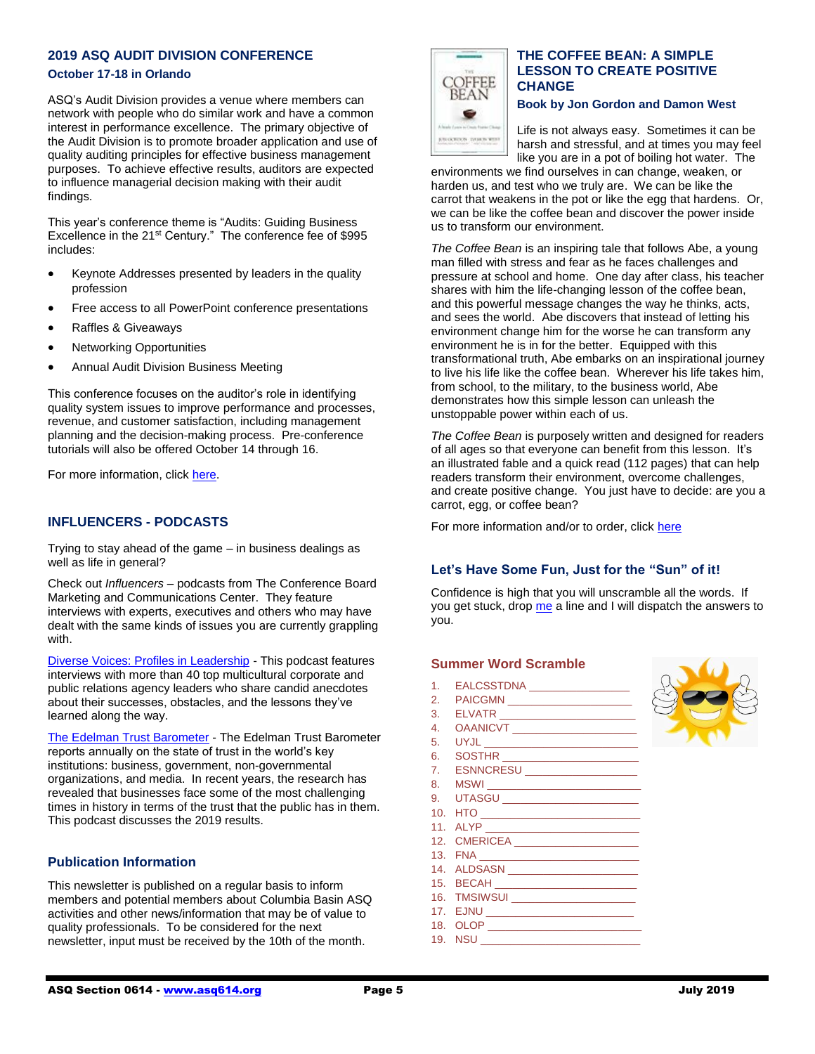# **2019 ASQ AUDIT DIVISION CONFERENCE**

### **October 17-18 in Orlando**

ASQ's Audit Division provides a venue where members can network with people who do similar work and have a common interest in performance excellence. The primary objective of the Audit Division is to promote broader application and use of quality auditing principles for effective business management purposes. To achieve effective results, auditors are expected to influence managerial decision making with their audit findings.

This year's conference theme is "Audits: Guiding Business Excellence in the 21<sup>st</sup> Century." The conference fee of \$995 includes:

- Keynote Addresses presented by leaders in the quality profession
- Free access to all PowerPoint conference presentations
- Raffles & Giveaways
- Networking Opportunities
- Annual Audit Division Business Meeting

This conference focuses on the auditor's role in identifying quality system issues to improve performance and processes, revenue, and customer satisfaction, including management planning and the decision-making process. Pre-conference tutorials will also be offered October 14 through 16.

For more information, clic[k here.](https://asq.org/conferences/audit-division/)

# **INFLUENCERS - PODCASTS**

Trying to stay ahead of the game – in business dealings as well as life in general?

Check out *Influencers* – podcasts from The Conference Board Marketing and Communications Center. They feature interviews with experts, executives and others who may have dealt with the same kinds of issues you are currently grappling with.

[Diverse Voices: Profiles in Leadership](https://www.conference-board.org/blog/postdetail.cfm?post=7042) - This podcast features interviews with more than 40 top multicultural corporate and public relations agency leaders who share candid anecdotes about their successes, obstacles, and the lessons they've learned along the way.

[The Edelman Trust Barometer](https://www.conference-board.org/blog/postdetail.cfm?post=7036) - The Edelman Trust Barometer reports annually on the state of trust in the world's key institutions: business, government, non-governmental organizations, and media. In recent years, the research has revealed that businesses face some of the most challenging times in history in terms of the trust that the public has in them. This podcast discusses the 2019 results.

#### **Publication Information**

This newsletter is published on a regular basis to inform members and potential members about Columbia Basin ASQ activities and other news/information that may be of value to quality professionals. To be considered for the next newsletter, input must be received by the 10th of the month.



# **THE COFFEE BEAN: A SIMPLE LESSON TO CREATE POSITIVE CHANGE**

**Book by Jon Gordon and Damon West**

Life is not always easy. Sometimes it can be harsh and stressful, and at times you may feel like you are in a pot of boiling hot water. The

environments we find ourselves in can change, weaken, or harden us, and test who we truly are. We can be like the carrot that weakens in the pot or like the egg that hardens. Or, we can be like the coffee bean and discover the power inside us to transform our environment.

*The Coffee Bean* is an inspiring tale that follows Abe, a young man filled with stress and fear as he faces challenges and pressure at school and home. One day after class, his teacher shares with him the life-changing lesson of the coffee bean, and this powerful message changes the way he thinks, acts, and sees the world. Abe discovers that instead of letting his environment change him for the worse he can transform any environment he is in for the better. Equipped with this transformational truth, Abe embarks on an inspirational journey to live his life like the coffee bean. Wherever his life takes him, from school, to the military, to the business world, Abe demonstrates how this simple lesson can unleash the unstoppable power within each of us.

*The Coffee Bean* is purposely written and designed for readers of all ages so that everyone can benefit from this lesson. It's an illustrated fable and a quick read (112 pages) that can help readers transform their environment, overcome challenges, and create positive change. You just have to decide: are you a carrot, egg, or coffee bean?

For more information and/or to order, click [here](http://coffeebeanbook.com/#about)

### **Let's Have Some Fun, Just for the "Sun" of it!**

Confidence is high that you will unscramble all the words. If you get stuck, dro[p me](mailto:rboykin68@gmail.com) a line and I will dispatch the answers to you.

#### **Summer Word Scramble**

- 1. EALCSSTDNA \_\_\_\_\_\_\_\_\_\_\_\_\_\_\_\_\_
- 2. PAICGMN \_\_\_\_\_\_\_\_\_\_\_\_\_\_\_\_\_\_\_\_\_
- 3. ELVATR \_\_\_\_\_\_\_\_\_\_\_\_\_\_\_\_\_\_\_\_\_\_\_
- 4. OAANICVT \_\_\_\_\_\_\_\_\_\_\_\_\_\_\_\_\_\_\_\_\_
- 5. UYJL \_\_\_\_\_\_\_\_\_\_\_\_\_\_\_\_\_\_\_\_\_\_\_\_\_\_
- 6. SOSTHR \_\_\_\_\_\_\_\_\_\_\_\_\_\_\_\_\_\_\_\_\_\_\_
- 7. ESNNCRESU \_\_\_\_\_\_\_\_\_\_\_\_\_\_\_\_\_\_\_ 8. MSWI
- 9. UTASGU \_\_\_\_\_\_\_\_\_\_\_\_\_\_\_\_\_\_\_\_\_\_\_
- 10. HTO \_\_\_\_\_\_\_\_\_\_\_\_\_\_\_\_\_\_\_\_\_\_\_\_\_\_\_
- 11. ALYP \_\_\_\_\_\_\_\_\_\_\_\_\_\_\_\_\_\_\_\_\_\_\_\_\_\_
- 12. CMERICEA \_\_\_\_\_\_\_\_\_\_\_\_\_\_\_\_\_\_\_\_\_
- 13. FNA
- 14. ALDSASN \_\_\_\_\_\_\_\_\_\_\_\_\_\_\_\_\_\_\_\_\_\_
- 15. BECAH \_\_\_\_\_\_\_\_\_\_\_\_\_\_\_\_\_\_\_\_\_\_\_\_
- 16. TMSIWSUI \_\_\_\_\_\_\_\_\_\_\_\_\_\_\_\_\_\_\_\_\_\_
- 17. EJNU \_\_\_\_\_\_\_\_\_\_\_\_\_\_\_\_\_\_\_\_\_\_\_\_\_ 18. OLOP \_\_\_\_\_\_\_\_\_\_\_\_\_\_\_\_\_\_\_\_\_\_\_\_\_\_
- 19. NSU \_\_\_\_\_\_\_\_\_\_\_\_\_\_\_\_\_\_\_\_\_\_\_\_\_\_\_